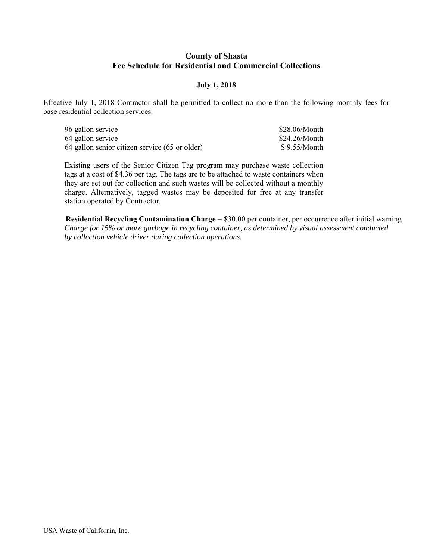#### **County of Shasta Fee Schedule for Residential and Commercial Collections**

#### **July 1, 2018**

Effective July 1, 2018 Contractor shall be permitted to collect no more than the following monthly fees for base residential collection services:

| 96 gallon service                              | \$28.06/Month |
|------------------------------------------------|---------------|
| 64 gallon service                              | \$24.26/Month |
| 64 gallon senior citizen service (65 or older) | \$9.55/Month  |

Existing users of the Senior Citizen Tag program may purchase waste collection tags at a cost of \$4.36 per tag. The tags are to be attached to waste containers when they are set out for collection and such wastes will be collected without a monthly charge. Alternatively, tagged wastes may be deposited for free at any transfer station operated by Contractor.

**Residential Recycling Contamination Charge** = \$30.00 per container, per occurrence after initial warning *Charge for 15% or more garbage in recycling container, as determined by visual assessment conducted by collection vehicle driver during collection operations.*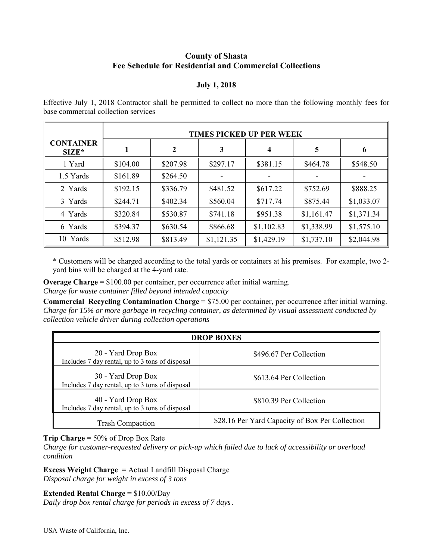## **County of Shasta Fee Schedule for Residential and Commercial Collections**

#### **July 1, 2018**

| Effective July 1, 2018 Contractor shall be permitted to collect no more than the following monthly fees for |  |  |
|-------------------------------------------------------------------------------------------------------------|--|--|
| base commercial collection services                                                                         |  |  |

|                             | <b>TIMES PICKED UP PER WEEK</b> |          |            |                         |            |            |
|-----------------------------|---------------------------------|----------|------------|-------------------------|------------|------------|
| <b>CONTAINER</b><br>$SIZE*$ |                                 | 2        | 3          | $\overline{\mathbf{4}}$ | 5          | 6          |
| 1 Yard                      | \$104.00                        | \$207.98 | \$297.17   | \$381.15                | \$464.78   | \$548.50   |
| 1.5 Yards                   | \$161.89                        | \$264.50 |            |                         |            |            |
| 2 Yards                     | \$192.15                        | \$336.79 | \$481.52   | \$617.22                | \$752.69   | \$888.25   |
| 3 Yards                     | \$244.71                        | \$402.34 | \$560.04   | \$717.74                | \$875.44   | \$1,033.07 |
| 4 Yards                     | \$320.84                        | \$530.87 | \$741.18   | \$951.38                | \$1,161.47 | \$1,371.34 |
| 6 Yards                     | \$394.37                        | \$630.54 | \$866.68   | \$1,102.83              | \$1,338.99 | \$1,575.10 |
| 10 Yards                    | \$512.98                        | \$813.49 | \$1,121.35 | \$1,429.19              | \$1,737.10 | \$2,044.98 |

\* Customers will be charged according to the total yards or containers at his premises. For example, two 2 yard bins will be charged at the 4-yard rate.

**Overage Charge** = \$100.00 per container, per occurrence after initial warning. *Charge for waste container filled beyond intended capacity* 

**Commercial Recycling Contamination Charge** = \$75.00 per container, per occurrence after initial warning. *Charge for 15% or more garbage in recycling container, as determined by visual assessment conducted by collection vehicle driver during collection operations* 

| <b>DROP BOXES</b>                                                     |                                                 |  |  |
|-----------------------------------------------------------------------|-------------------------------------------------|--|--|
| 20 - Yard Drop Box<br>Includes 7 day rental, up to 3 tons of disposal | \$496.67 Per Collection                         |  |  |
| 30 - Yard Drop Box<br>Includes 7 day rental, up to 3 tons of disposal | \$613.64 Per Collection                         |  |  |
| 40 - Yard Drop Box<br>Includes 7 day rental, up to 3 tons of disposal | \$810.39 Per Collection                         |  |  |
| <b>Trash Compaction</b>                                               | \$28.16 Per Yard Capacity of Box Per Collection |  |  |

**Trip Charge** = 50% of Drop Box Rate

*Charge for customer-requested delivery or pick-up which failed due to lack of accessibility or overload condition* 

**Excess Weight Charge =** Actual Landfill Disposal Charge *Disposal charge for weight in excess of 3 tons* 

**Extended Rental Charge** = \$10.00/Day

*Daily drop box rental charge for periods in excess of 7 days.*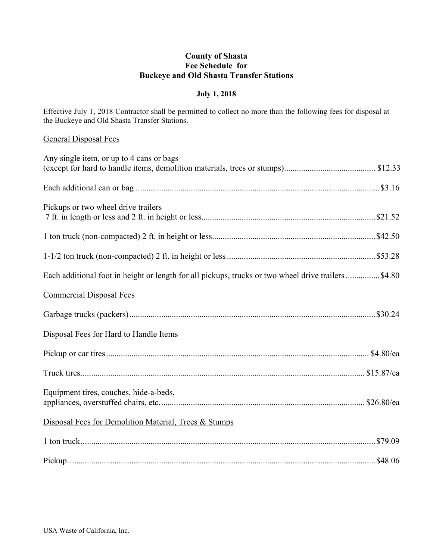# **County of Shasta Fee Schedule for Buckeye and Old Shasta Transfer Stations**

## **July 1, 2018**

Effective July 1, 2018 Contractor shall be permitted to collect no more than the following fees for disposal at the Buckeye and Old Shasta Transfer Stations.

### General Disposal Fees

| Any single item, or up to 4 cans or bags                                                            |
|-----------------------------------------------------------------------------------------------------|
|                                                                                                     |
| Pickups or two wheel drive trailers                                                                 |
|                                                                                                     |
|                                                                                                     |
| Each additional foot in height or length for all pickups, trucks or two wheel drive trailers \$4.80 |
| <b>Commercial Disposal Fees</b>                                                                     |
|                                                                                                     |
| Disposal Fees for Hard to Handle Items                                                              |
|                                                                                                     |
|                                                                                                     |
| Equipment tires, couches, hide-a-beds,                                                              |
| Disposal Fees for Demolition Material, Trees & Stumps                                               |
|                                                                                                     |
|                                                                                                     |